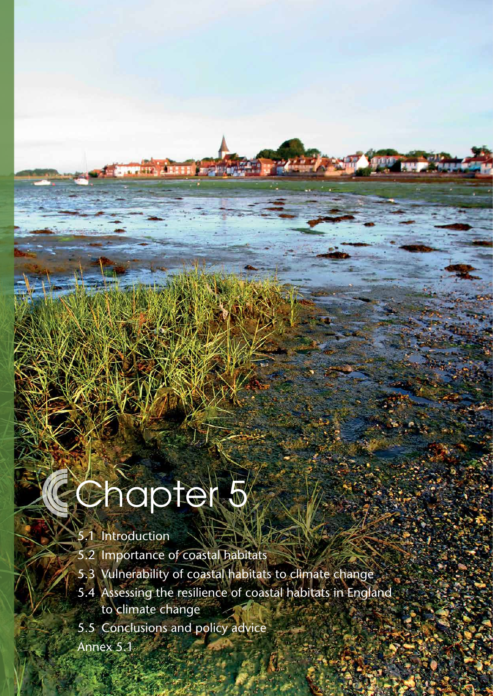# Conapter 5

# 5.1 [Introduction](#page-2-0)

- 5.2 [Importance of coastal habitats](#page-2-0)
- 5.3 [Vulnerability of coastal habitats to climate change](#page-3-0)
- 5.4 [Assessing the resilience of coastal habitats in England](#page-6-0)  to [climate change](#page-6-0)

**92 Managing the land in a changing climate** | Adaptation Sub-Committee | Progress Report 2013

- 5.5 [Conclusions and policy advice](#page-13-0)
- [Annex 5.1](#page-15-0)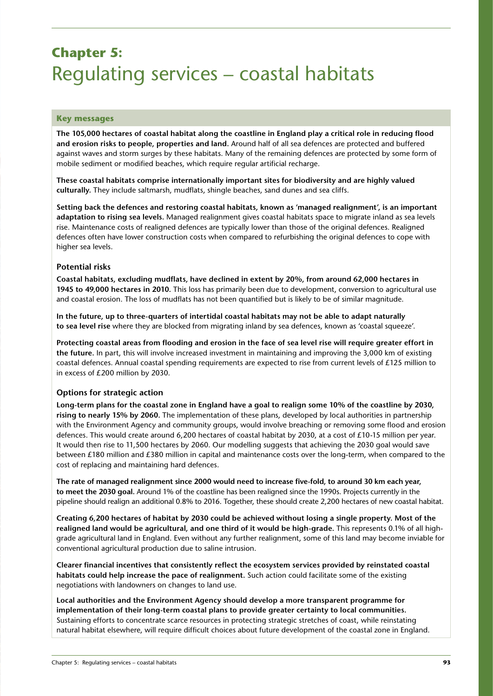# **Chapter 5:**  Regulating services – coastal habitats

#### **Key messages**

**The 105,000 hectares of coastal habitat along the coastline in England play a critical role in reducing flood and erosion risks to people, properties and land.** Around half of all sea defences are protected and buffered against waves and storm surges by these habitats. Many of the remaining defences are protected by some form of mobile sediment or modified beaches, which require regular artificial recharge.

**These coastal habitats comprise internationally important sites for biodiversity and are highly valued culturally.** They include saltmarsh, mudflats, shingle beaches, sand dunes and sea cliffs.

**Setting back the defences and restoring coastal habitats, known as 'managed realignment', is an important adaptation to rising sea levels.** Managed realignment gives coastal habitats space to migrate inland as sea levels rise. Maintenance costs of realigned defences are typically lower than those of the original defences. Realigned defences often have lower construction costs when compared to refurbishing the original defences to cope with higher sea levels.

#### **Potential risks**

**Coastal habitats, excluding mudflats, have declined in extent by 20%, from around 62,000 hectares in 1945 to 49,000 hectares in 2010.** This loss has primarily been due to development, conversion to agricultural use and coastal erosion. The loss of mudflats has not been quantified but is likely to be of similar magnitude.

**In the future, up to three-quarters of intertidal coastal habitats may not be able to adapt naturally to sea level rise** where they are blocked from migrating inland by sea defences, known as 'coastal squeeze'.

**Protecting coastal areas from flooding and erosion in the face of sea level rise will require greater effort in the future.** In part, this will involve increased investment in maintaining and improving the 3,000 km of existing coastal defences. Annual coastal spending requirements are expected to rise from current levels of £125 million to in excess of £200 million by 2030.

#### **Options for strategic action**

**Long-term plans for the coastal zone in England have a goal to realign some 10% of the coastline by 2030, rising to nearly 15% by 2060.** The implementation of these plans, developed by local authorities in partnership with the Environment Agency and community groups, would involve breaching or removing some flood and erosion defences. This would create around 6,200 hectares of coastal habitat by 2030, at a cost of £10-15 million per year. It would then rise to 11,500 hectares by 2060. Our modelling suggests that achieving the 2030 goal would save between £180 million and £380 million in capital and maintenance costs over the long-term, when compared to the cost of replacing and maintaining hard defences.

**The rate of managed realignment since 2000 would need to increase five-fold, to around 30 km each year, to meet the 2030 goal.** Around 1% of the coastline has been realigned since the 1990s. Projects currently in the pipeline should realign an additional 0.8% to 2016. Together, these should create 2,200 hectares of new coastal habitat.

**Creating 6,200 hectares of habitat by 2030 could be achieved without losing a single property. Most of the realigned land would be agricultural, and one third of it would be high-grade.** This represents 0.1% of all highgrade agricultural land in England. Even without any further realignment, some of this land may become inviable for conventional agricultural production due to saline intrusion.

**Clearer financial incentives that consistently reflect the ecosystem services provided by reinstated coastal habitats could help increase the pace of realignment.** Such action could facilitate some of the existing negotiations with landowners on changes to land use.

**Local authorities and the Environment Agency should develop a more transparent programme for implementation of their long-term coastal plans to provide greater certainty to local communities.** Sustaining efforts to concentrate scarce resources in protecting strategic stretches of coast, while reinstating natural habitat elsewhere, will require difficult choices about future development of the coastal zone in England.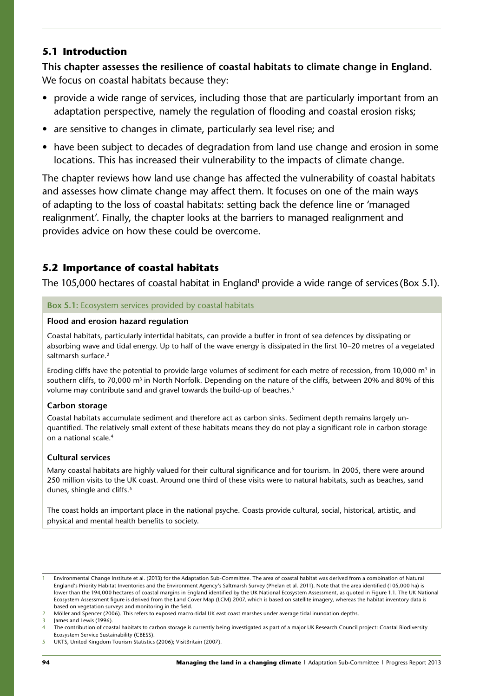#### <span id="page-2-0"></span>**5.1 Introduction**

**This chapter assesses the resilience of coastal habitats to climate change in England.** We focus on coastal habitats because they:

- provide a wide range of services, including those that are particularly important from an adaptation perspective, namely the regulation of flooding and coastal erosion risks;
- are sensitive to changes in climate, particularly sea level rise; and
- have been subject to decades of degradation from land use change and erosion in some locations. This has increased their vulnerability to the impacts of climate change.

The chapter reviews how land use change has affected the vulnerability of coastal habitats and assesses how climate change may affect them. It focuses on one of the main ways of adapting to the loss of coastal habitats: setting back the defence line or 'managed realignment'. Finally, the chapter looks at the barriers to managed realignment and provides advice on how these could be overcome.

# **5.2 Importance of coastal habitats**

The 105,000 hectares of coastal habitat in England<sup>1</sup> provide a wide range of services (Box 5.1).

#### **Box 5.1:** Ecosystem services provided by coastal habitats

#### **Flood and erosion hazard regulation**

Coastal habitats, particularly intertidal habitats, can provide a buffer in front of sea defences by dissipating or absorbing wave and tidal energy. Up to half of the wave energy is dissipated in the first 10–20 metres of a vegetated saltmarsh surface.<sup>2</sup>

Eroding cliffs have the potential to provide large volumes of sediment for each metre of recession, from 10,000  $m<sup>3</sup>$  in southern cliffs, to 70,000 m<sup>3</sup> in North Norfolk. Depending on the nature of the cliffs, between 20% and 80% of this volume may contribute sand and gravel towards the build-up of beaches.<sup>3</sup>

#### **Carbon storage**

Coastal habitats accumulate sediment and therefore act as carbon sinks. Sediment depth remains largely unquantified. The relatively small extent of these habitats means they do not play a significant role in carbon storage on a national scale.4

#### **Cultural services**

Many coastal habitats are highly valued for their cultural significance and for tourism. In 2005, there were around 250 million visits to the UK coast. Around one third of these visits were to natural habitats, such as beaches, sand dunes, shingle and cliffs.<sup>5</sup>

The coast holds an important place in the national psyche. Coasts provide cultural, social, historical, artistic, and physical and mental health benefits to society.

<sup>1</sup> Environmental Change Institute et al. (2013) for the Adaptation Sub-Committee. The area of coastal habitat was derived from a combination of Natural England's Priority Habitat Inventories and the Environment Agency's Saltmarsh Survey (Phelan et al. 2011). Note that the area identified (105,000 ha) is lower than the 194,000 hectares of coastal margins in England identified by the UK National Ecosystem Assessment, as quoted in Figure 1.1. The UK National Ecosystem Assessment figure is derived from the Land Cover Map (LCM) 2007, which is based on satellite imagery, whereas the habitat inventory data is based on vegetation surveys and monitoring in the field.

<sup>2</sup> Möller and Spencer (2006). This refers to exposed macro-tidal UK east coast marshes under average tidal inundation depths.

James and Lewis (1996).

<sup>4</sup> The contribution of coastal habitats to carbon storage is currently being investigated as part of a major UK Research Council project: Coastal Biodiversity Ecosystem Service Sustainability (CBESS).

<sup>5</sup> UKTS, United Kingdom Tourism Statistics (2006); VisitBritain (2007).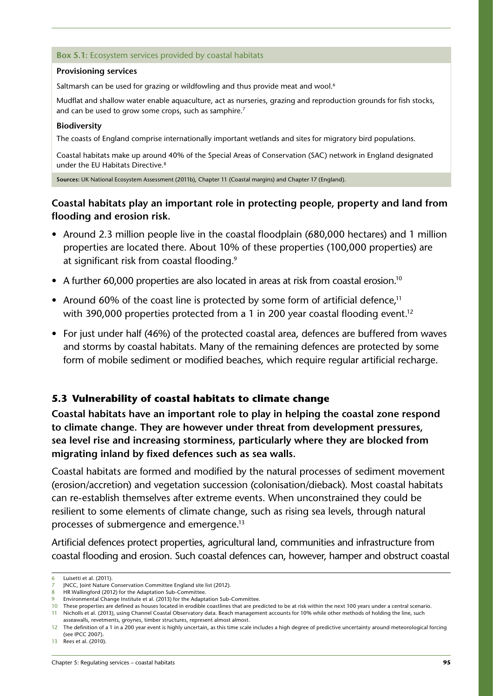#### <span id="page-3-0"></span>**Box 5.1:** Ecosystem services provided by coastal habitats

#### **Provisioning services**

Saltmarsh can be used for grazing or wildfowling and thus provide meat and wool.<sup>6</sup>

Mudflat and shallow water enable aquaculture, act as nurseries, grazing and reproduction grounds for fish stocks, and can be used to grow some crops, such as samphire.<sup>7</sup>

#### **Biodiversity**

The coasts of England comprise internationally important wetlands and sites for migratory bird populations.

Coastal habitats make up around 40% of the Special Areas of Conservation (SAC) network in England designated under the EU Habitats Directive.8

**Sources:** UK National Ecosystem Assessment (2011b), Chapter 11 (Coastal margins) and Chapter 17 (England).

# **Coastal habitats play an important role in protecting people, property and land from flooding and erosion risk.**

- Around 2.3 million people live in the coastal floodplain (680,000 hectares) and 1 million properties are located there. About 10% of these properties (100,000 properties) are at significant risk from coastal flooding.9
- A further 60,000 properties are also located in areas at risk from coastal erosion.<sup>10</sup>
- Around 60% of the coast line is protected by some form of artificial defence.<sup>11</sup> with 390,000 properties protected from a 1 in 200 year coastal flooding event.<sup>12</sup>
- For just under half (46%) of the protected coastal area, defences are buffered from waves and storms by coastal habitats. Many of the remaining defences are protected by some form of mobile sediment or modified beaches, which require regular artificial recharge.

## **5.3 Vulnerability of coastal habitats to climate change**

**Coastal habitats have an important role to play in helping the coastal zone respond to climate change. They are however under threat from development pressures, sea level rise and increasing storminess, particularly where they are blocked from migrating inland by fixed defences such as sea walls.**

Coastal habitats are formed and modified by the natural processes of sediment movement (erosion/accretion) and vegetation succession (colonisation/dieback). Most coastal habitats can re-establish themselves after extreme events. When unconstrained they could be resilient to some elements of climate change, such as rising sea levels, through natural processes of submergence and emergence.13

Artificial defences protect properties, agricultural land, communities and infrastructure from coastal flooding and erosion. Such coastal defences can, however, hamper and obstruct coastal

<sup>6</sup> Luisetti et al. (2011).

<sup>7</sup> JNCC, Joint Nature Conservation Committee England site list (2012).

<sup>8</sup> HR Wallingford (2012) for the Adaptation Sub-Committee.

<sup>9</sup> Environmental Change Institute et al. (2013) for the Adaptation Sub-Committee.

<sup>10</sup> These properties are defined as houses located in erodible coastlines that are predicted to be at risk within the next 100 years under a central scenario.

<sup>11</sup> Nicholls et al. (2013), using Channel Coastal Observatory data. Beach management accounts for 10% while other methods of holding the line, such asseawalls, revetments, groynes, timber structures, represent almost almost.

<sup>12</sup> The definition of a 1 in a 200 year event is highly uncertain, as this time scale includes a high degree of predictive uncertainty around meteorological forcing (see IPCC 2007).

<sup>13</sup> Rees et al. (2010).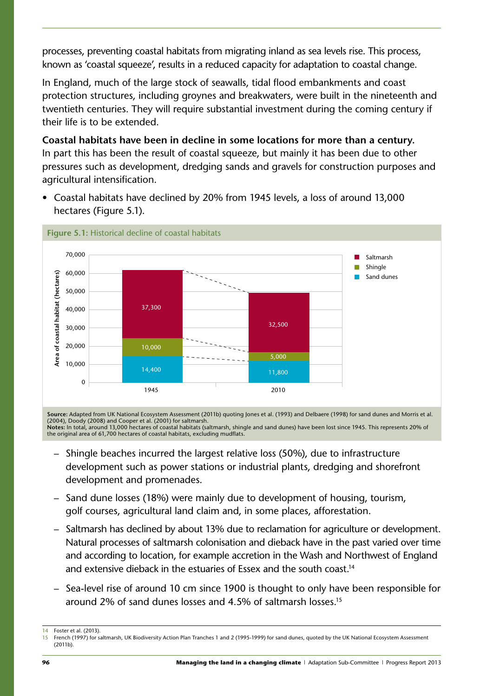processes, preventing coastal habitats from migrating inland as sea levels rise. This process, known as 'coastal squeeze', results in a reduced capacity for adaptation to coastal change.

In England, much of the large stock of seawalls, tidal flood embankments and coast protection structures, including groynes and breakwaters, were built in the nineteenth and twentieth centuries. They will require substantial investment during the coming century if their life is to be extended.

**Coastal habitats have been in decline in some locations for more than a century.**  In part this has been the result of coastal squeeze, but mainly it has been due to other pressures such as development, dredging sands and gravels for construction purposes and agricultural intensification.

• Coastal habitats have declined by 20% from 1945 levels, a loss of around 13,000 hectares (Figure 5.1).



**Source:** Adapted from UK National Ecosystem Assessment (2011b) quoting Jones et al. (1993) and Delbaere (1998) for sand dunes and Morris et al. (2004), Doody (2008) and Cooper et al. (2001) for saltmarsh. **Notes:** In total, around 13,000 hectares of coastal habitats (saltmarsh, shingle and sand dunes) have been lost since 1945. This represents 20% of the original area of 61,700 hectares of coastal habitats, excluding mudflats.

- Shingle beaches incurred the largest relative loss (50%), due to infrastructure development such as power stations or industrial plants, dredging and shorefront development and promenades.
- Sand dune losses (18%) were mainly due to development of housing, tourism, golf courses, agricultural land claim and, in some places, afforestation.
- Saltmarsh has declined by about 13% due to reclamation for agriculture or development. Natural processes of saltmarsh colonisation and dieback have in the past varied over time and according to location, for example accretion in the Wash and Northwest of England and extensive dieback in the estuaries of Essex and the south coast.<sup>14</sup>
- Sea-level rise of around 10 cm since 1900 is thought to only have been responsible for around 2% of sand dunes losses and 4.5% of saltmarsh losses.15

Foster et al. (2013).

<sup>15</sup> French (1997) for saltmarsh, UK Biodiversity Action Plan Tranches 1 and 2 (1995-1999) for sand dunes, quoted by the UK National Ecosystem Assessment (2011b).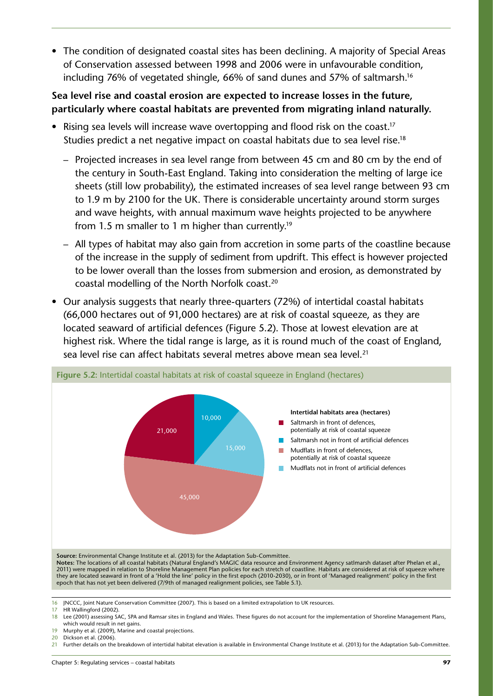• The condition of designated coastal sites has been declining. A majority of Special Areas of Conservation assessed between 1998 and 2006 were in unfavourable condition, including 76% of vegetated shingle, 66% of sand dunes and 57% of saltmarsh.<sup>16</sup>

# **Sea level rise and coastal erosion are expected to increase losses in the future, particularly where coastal habitats are prevented from migrating inland naturally.**

- Rising sea levels will increase wave overtopping and flood risk on the coast.<sup>17</sup> Studies predict a net negative impact on coastal habitats due to sea level rise.<sup>18</sup>
	- Projected increases in sea level range from between 45 cm and 80 cm by the end of the century in South-East England. Taking into consideration the melting of large ice sheets (still low probability), the estimated increases of sea level range between 93 cm to 1.9 m by 2100 for the UK. There is considerable uncertainty around storm surges and wave heights, with annual maximum wave heights projected to be anywhere from 1.5 m smaller to 1 m higher than currently.19
	- All types of habitat may also gain from accretion in some parts of the coastline because of the increase in the supply of sediment from updrift. This effect is however projected to be lower overall than the losses from submersion and erosion, as demonstrated by coastal modelling of the North Norfolk coast.20
- Our analysis suggests that nearly three-quarters (72%) of intertidal coastal habitats (66,000 hectares out of 91,000 hectares) are at risk of coastal squeeze, as they are located seaward of artificial defences (Figure 5.2). Those at lowest elevation are at highest risk. Where the tidal range is large, as it is round much of the coast of England, sea level rise can affect habitats several metres above mean sea level. 21



**Source:** Environmental Change Institute et al. (2013) for the Adaptation Sub-Committee.

**Notes:** The locations of all coastal habitats (Natural England's MAGIC data resource and Environment Agency satlmarsh dataset after Phelan et al., 2011) were mapped in relation to Shoreline Management Plan policies for each stretch of coastline. Habitats are considered at risk of squeeze where they are located seaward in front of a 'Hold the line' policy in the first epoch (2010-2030), or in front of 'Managed realignment' policy in the first epoch that has not yet been delivered (7/9th of managed realignment policies, see Table 5.1).

19 Murphy et al. (2009), Marine and coastal projections.

<sup>16</sup> JNCCC, Joint Nature Conservation Committee (2007). This is based on a limited extrapolation to UK resources.

<sup>17</sup> HR Wallingford (2002).

<sup>18</sup> Lee (2001) assessing SAC, SPA and Ramsar sites in England and Wales. These figures do not account for the implementation of Shoreline Management Plans, which would result in net gains.

<sup>20</sup> Dickson et al. (2006).

<sup>21</sup> Further details on the breakdown of intertidal habitat elevation is available in Environmental Change Institute et al. (2013) for the Adaptation Sub-Committee.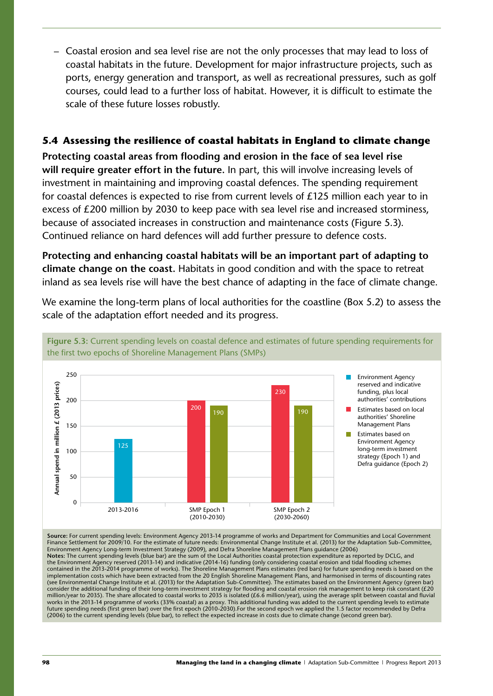<span id="page-6-0"></span>– Coastal erosion and sea level rise are not the only processes that may lead to loss of coastal habitats in the future. Development for major infrastructure projects, such as ports, energy generation and transport, as well as recreational pressures, such as golf courses, could lead to a further loss of habitat. However, it is difficult to estimate the scale of these future losses robustly.

## **5.4 Assessing the resilience of coastal habitats in England to climate change**

**Protecting coastal areas from flooding and erosion in the face of sea level rise will require greater effort in the future.** In part, this will involve increasing levels of investment in maintaining and improving coastal defences. The spending requirement for coastal defences is expected to rise from current levels of £125 million each year to in excess of £200 million by 2030 to keep pace with sea level rise and increased storminess, because of associated increases in construction and maintenance costs (Figure 5.3). Continued reliance on hard defences will add further pressure to defence costs.

**Protecting and enhancing coastal habitats will be an important part of adapting to climate change on the coast.** Habitats in good condition and with the space to retreat inland as sea levels rise will have the best chance of adapting in the face of climate change.

We examine the long-term plans of local authorities for the coastline (Box 5.2) to assess the scale of the adaptation effort needed and its progress.



**Figure 5.3:** Current spending levels on coastal defence and estimates of future spending requirements for the first two epochs of Shoreline Management Plans (SMPs)

**Source:** For current spending levels: Environment Agency 2013-14 programme of works and Department for Communities and Local Government Finance Settlement for 2009/10. For the estimate of future needs: Environmental Change Institute et al. (2013) for the Adaptation Sub-Committee, Environment Agency Long-term Investment Strategy (2009), and Defra Shoreline Management Plans guidance (2006) **Notes:** The current spending levels (blue bar) are the sum of the Local Authorities coastal protection expenditure as reported by DCLG, and the Environment Agency reserved (2013-14) and indicative (2014-16) funding (only considering coastal erosion and tidal flooding schemes contained in the 2013-2014 programme of works). The Shoreline Management Plans estimates (red bars) for future spending needs is based on the implementation costs which have been extracted from the 20 English Shoreline Management Plans, and harmonised in terms of discounting rates (see Environmental Change Institute et al. (2013) for the Adaptation Sub-Committee). The estimates based on the Environment Agency (green bar) consider the additional funding of their long-term investment strategy for flooding and coastal erosion risk management to keep risk constant (£20 million/year to 2035). The share allocated to coastal works to 2035 is isolated (£6.6 million/year), using the average split between coastal and fluvial works in the 2013-14 programme of works (33% coastal) as a proxy. This additional funding was added to the current spending levels to estimate future spending needs (first green bar) over the first epoch (2010-2030).For the second epoch we applied the 1.5 factor recommended by Defra (2006) to the current spending levels (blue bar), to reflect the expected increase in costs due to climate change (second green bar).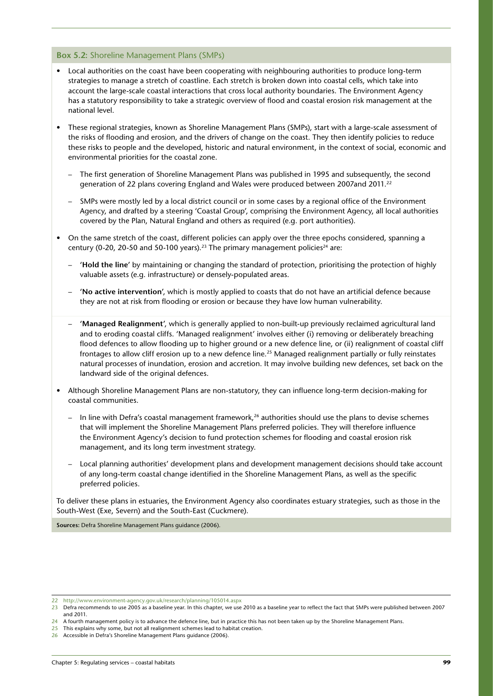#### **Box 5.2:** Shoreline Management Plans (SMPs)

- Local authorities on the coast have been cooperating with neighbouring authorities to produce long-term strategies to manage a stretch of coastline. Each stretch is broken down into coastal cells, which take into account the large-scale coastal interactions that cross local authority boundaries. The Environment Agency has a statutory responsibility to take a strategic overview of flood and coastal erosion risk management at the national level.
- These regional strategies, known as Shoreline Management Plans (SMPs), start with a large-scale assessment of the risks of flooding and erosion, and the drivers of change on the coast. They then identify policies to reduce these risks to people and the developed, historic and natural environment, in the context of social, economic and environmental priorities for the coastal zone.
	- The first generation of Shoreline Management Plans was published in 1995 and subsequently, the second generation of 22 plans covering England and Wales were produced between 2007and 2011.22
	- SMPs were mostly led by a local district council or in some cases by a regional office of the Environment Agency, and drafted by a steering 'Coastal Group', comprising the Environment Agency, all local authorities covered by the Plan, Natural England and others as required (e.g. port authorities).
- On the same stretch of the coast, different policies can apply over the three epochs considered, spanning a century (0-20, 20-50 and 50-100 years).<sup>23</sup> The primary management policies<sup>24</sup> are:
	- **'Hold the line'** by maintaining or changing the standard of protection, prioritising the protection of highly valuable assets (e.g. infrastructure) or densely-populated areas.
	- **'No active intervention'**, which is mostly applied to coasts that do not have an artificial defence because they are not at risk from flooding or erosion or because they have low human vulnerability.
	- **'Managed Realignment'**, which is generally applied to non-built-up previously reclaimed agricultural land and to eroding coastal cliffs. 'Managed realignment' involves either (i) removing or deliberately breaching flood defences to allow flooding up to higher ground or a new defence line, or (ii) realignment of coastal cliff frontages to allow cliff erosion up to a new defence line.25 Managed realignment partially or fully reinstates natural processes of inundation, erosion and accretion. It may involve building new defences, set back on the landward side of the original defences.
- Although Shoreline Management Plans are non-statutory, they can influence long-term decision-making for coastal communities.
	- In line with Defra's coastal management framework,<sup>26</sup> authorities should use the plans to devise schemes that will implement the Shoreline Management Plans preferred policies. They will therefore influence the Environment Agency's decision to fund protection schemes for flooding and coastal erosion risk management, and its long term investment strategy.
	- Local planning authorities' development plans and development management decisions should take account of any long-term coastal change identified in the Shoreline Management Plans, as well as the specific preferred policies.

To deliver these plans in estuaries, the Environment Agency also coordinates estuary strategies, such as those in the South-West (Exe, Severn) and the South-East (Cuckmere).

**Sources:** Defra Shoreline Management Plans guidance (2006).

<sup>22</sup> <http://www.environment-agency.gov.uk/research/planning/105014.aspx>

<sup>23</sup> Defra recommends to use 2005 as a baseline year. In this chapter, we use 2010 as a baseline year to reflect the fact that SMPs were published between 2007 and 2011.

<sup>24</sup> A fourth management policy is to advance the defence line, but in practice this has not been taken up by the Shoreline Management Plans.

<sup>25</sup> This explains why some, but not all realignment schemes lead to habitat creation.

<sup>26</sup> Accessible in Defra's Shoreline Management Plans guidance (2006).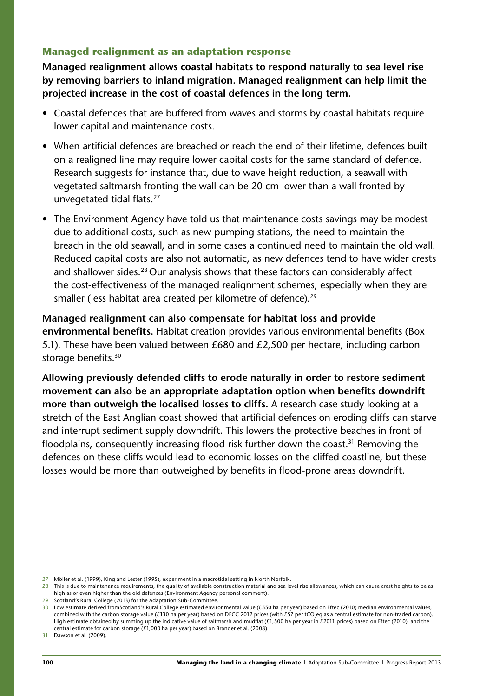#### **Managed realignment as an adaptation response**

**Managed realignment allows coastal habitats to respond naturally to sea level rise by removing barriers to inland migration. Managed realignment can help limit the projected increase in the cost of coastal defences in the long term.** 

- Coastal defences that are buffered from waves and storms by coastal habitats require lower capital and maintenance costs.
- When artificial defences are breached or reach the end of their lifetime, defences built on a realigned line may require lower capital costs for the same standard of defence. Research suggests for instance that, due to wave height reduction, a seawall with vegetated saltmarsh fronting the wall can be 20 cm lower than a wall fronted by unvegetated tidal flats.27
- The Environment Agency have told us that maintenance costs savings may be modest due to additional costs, such as new pumping stations, the need to maintain the breach in the old seawall, and in some cases a continued need to maintain the old wall. Reduced capital costs are also not automatic, as new defences tend to have wider crests and shallower sides.<sup>28</sup> Our analysis shows that these factors can considerably affect the cost-effectiveness of the managed realignment schemes, especially when they are smaller (less habitat area created per kilometre of defence).<sup>29</sup>

**Managed realignment can also compensate for habitat loss and provide environmental benefits.** Habitat creation provides various environmental benefits (Box 5.1). These have been valued between £680 and £2,500 per hectare, including carbon storage benefits.<sup>30</sup>

**Allowing previously defended cliffs to erode naturally in order to restore sediment movement can also be an appropriate adaptation option when benefits downdrift more than outweigh the localised losses to cliffs.** A research case study looking at a stretch of the East Anglian coast showed that artificial defences on eroding cliffs can starve and interrupt sediment supply downdrift. This lowers the protective beaches in front of floodplains, consequently increasing flood risk further down the coast.<sup>31</sup> Removing the defences on these cliffs would lead to economic losses on the cliffed coastline, but these losses would be more than outweighed by benefits in flood-prone areas downdrift.

<sup>27</sup> Möller et al. (1999), King and Lester (1995), experiment in a macrotidal setting in North Norfolk.

<sup>28</sup> This is due to maintenance requirements, the quality of available construction material and sea level rise allowances, which can cause crest heights to be as high as or even higher than the old defences (Environment Agency personal comment).

<sup>29</sup> Scotland's Rural College (2013) for the Adaptation Sub-Committee.

<sup>30</sup> Low estimate derived fromScotland's Rural College estimated environmental value (£550 ha per year) based on Eftec (2010) median environmental values, combined with the carbon storage value (£130 ha per year) based on DECC 2012 prices (with £57 per tCO<sub>2</sub>eq as a central estimate for non-traded carbon). High estimate obtained by summing up the indicative value of saltmarsh and mudflat (£1,500 ha per year in £2011 prices) based on Eftec (2010), and the central estimate for carbon storage  $(E1,000$  ha per year) based on Brander et al. (2008).

<sup>31</sup> Dawson et al. (2009).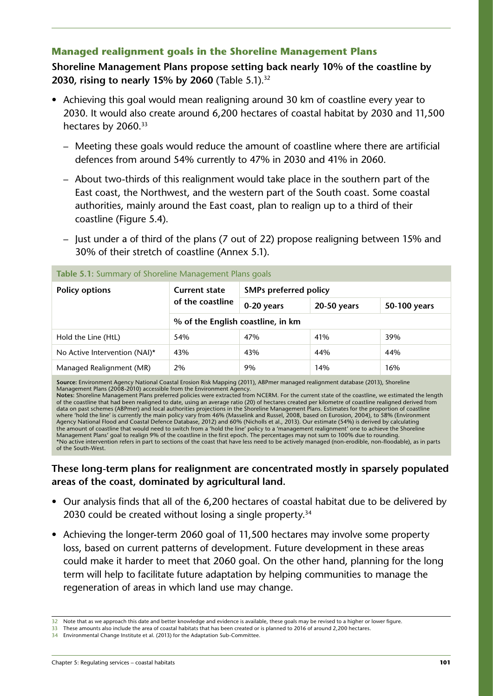### **Managed realignment goals in the Shoreline Management Plans**

**Shoreline Management Plans propose setting back nearly 10% of the coastline by 2030, rising to nearly 15% by 2060** (Table 5.1).<sup>32</sup>

- Achieving this goal would mean realigning around 30 km of coastline every year to 2030. It would also create around 6,200 hectares of coastal habitat by 2030 and 11,500 hectares by 2060.<sup>33</sup>
	- Meeting these goals would reduce the amount of coastline where there are artificial defences from around 54% currently to 47% in 2030 and 41% in 2060.
	- About two-thirds of this realignment would take place in the southern part of the East coast, the Northwest, and the western part of the South coast. Some coastal authorities, mainly around the East coast, plan to realign up to a third of their coastline (Figure 5.4).
	- Just under a of third of the plans (7 out of 22) propose realigning between 15% and 30% of their stretch of coastline (Annex 5.1).

| <b>Policy options</b>         | <b>Current state</b><br>of the coastline | <b>SMPs preferred policy</b> |             |              |
|-------------------------------|------------------------------------------|------------------------------|-------------|--------------|
|                               |                                          | 0-20 years                   | 20-50 years | 50-100 years |
|                               | % of the English coastline, in km        |                              |             |              |
| Hold the Line (HtL)           | 54%                                      | 47%                          | 41%         | 39%          |
| No Active Intervention (NAI)* | 43%                                      | 43%                          | 44%         | 44%          |
| Managed Realignment (MR)      | 2%                                       | 9%                           | 14%         | 16%          |
|                               |                                          |                              |             |              |

**Table 5.1:** Summary of Shoreline Management Plans goals

**Source:** Environment Agency National Coastal Erosion Risk Mapping (2011), ABPmer managed realignment database (2013), Shoreline

Management Plans (2008-2010) accessible from the Environment Agency. **Notes:** Shoreline Management Plans preferred policies were extracted from NCERM. For the current state of the coastline, we estimated the length of the coastline that had been realigned to date, using an average ratio (20) of hectares created per kilometre of coastline realigned derived from data on past schemes (ABPmer) and local authorities projections in the Shoreline Management Plans. Estimates for the proportion of coastline where 'hold the line' is currently the main policy vary from 46% (Masselink and Russel, 2008, based on Eurosion, 2004), to 58% (Environment Agency National Flood and Coastal Defence Database, 2012) and 60% (Nicholls et al., 2013). Our estimate (54%) is derived by calculating the amount of coastline that would need to switch from a 'hold the line' policy to a 'management realignment' one to achieve the Shoreline Management Plans' goal to realign 9% of the coastline in the first epoch. The percentages may not sum to 100% due to rounding. \*No active intervention refers in part to sections of the coast that have less need to be actively managed (non-erodible, non-floodable), as in parts of the South-West.

**These long-term plans for realignment are concentrated mostly in sparsely populated areas of the coast, dominated by agricultural land.**

- Our analysis finds that all of the 6,200 hectares of coastal habitat due to be delivered by 2030 could be created without losing a single property.<sup>34</sup>
- Achieving the longer-term 2060 goal of 11,500 hectares may involve some property loss, based on current patterns of development. Future development in these areas could make it harder to meet that 2060 goal. On the other hand, planning for the long term will help to facilitate future adaptation by helping communities to manage the regeneration of areas in which land use may change.

<sup>32</sup> Note that as we approach this date and better knowledge and evidence is available, these goals may be revised to a higher or lower figure.

<sup>33</sup> These amounts also include the area of coastal habitats that has been created or is planned to 2016 of around 2,200 hectares.

<sup>34</sup> Environmental Change Institute et al. (2013) for the Adaptation Sub-Committee.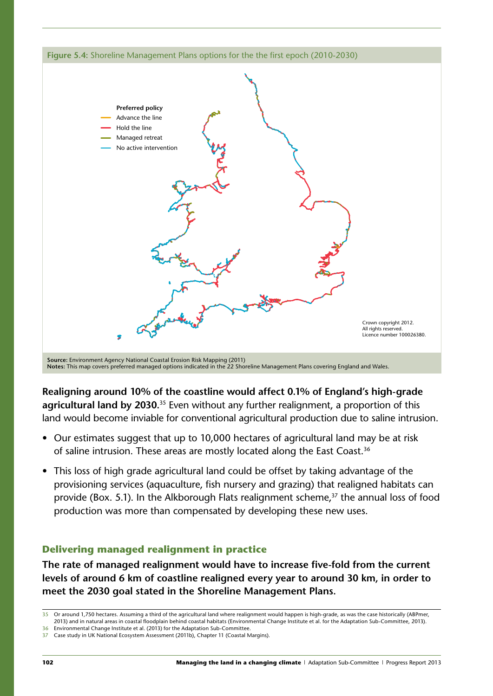

**Notes:** This map covers preferred managed options indicated in the 22 Shoreline Management Plans covering England and Wales.

**Realigning around 10% of the coastline would affect 0.1% of England's high-grade agricultural land by 2030.**35 Even without any further realignment, a proportion of this land would become inviable for conventional agricultural production due to saline intrusion.

- Our estimates suggest that up to 10,000 hectares of agricultural land may be at risk of saline intrusion. These areas are mostly located along the East Coast.<sup>36</sup>
- This loss of high grade agricultural land could be offset by taking advantage of the provisioning services (aquaculture, fish nursery and grazing) that realigned habitats can provide (Box. 5.1). In the Alkborough Flats realignment scheme,<sup>37</sup> the annual loss of food production was more than compensated by developing these new uses.

# **Delivering managed realignment in practice**

**The rate of managed realignment would have to increase five-fold from the current levels of around 6 km of coastline realigned every year to around 30 km, in order to meet the 2030 goal stated in the Shoreline Management Plans.** 

<sup>35</sup> Or around 1,750 hectares. Assuming a third of the agricultural land where realignment would happen is high-grade, as was the case historically (ABPmer, 2013) and in natural areas in coastal floodplain behind coastal habitats (Environmental Change Institute et al. for the Adaptation Sub-Committee, 2013).

<sup>36</sup> Environmental Change Institute et al. (2013) for the Adaptation Sub-Committee.

<sup>37</sup> Case study in UK National Ecosystem Assessment (2011b), Chapter 11 (Coastal Margins).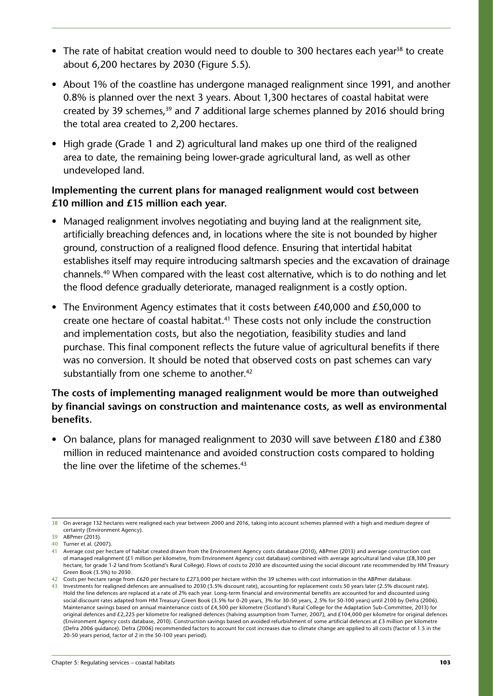- The rate of habitat creation would need to double to 300 hectares each vear<sup>38</sup> to create about 6,200 hectares by 2030 (Figure 5.5).
- About 1% of the coastline has undergone managed realignment since 1991, and another 0.8% is planned over the next 3 years. About 1,300 hectares of coastal habitat were created by 39 schemes, $39$  and 7 additional large schemes planned by 2016 should bring the total area created to 2,200 hectares.
- High grade (Grade 1 and 2) agricultural land makes up one third of the realigned area to date, the remaining being lower-grade agricultural land, as well as other undeveloped land.

# **Implementing the current plans for managed realignment would cost between £10 million and £15 million each year.**

- Managed realignment involves negotiating and buying land at the realignment site, artificially breaching defences and, in locations where the site is not bounded by higher ground, construction of a realigned flood defence. Ensuring that intertidal habitat establishes itself may require introducing saltmarsh species and the excavation of drainage channels.40 When compared with the least cost alternative, which is to do nothing and let the flood defence gradually deteriorate, managed realignment is a costly option.
- The Environment Agency estimates that it costs between £40,000 and £50,000 to create one hectare of coastal habitat.<sup>41</sup> These costs not only include the construction and implementation costs, but also the negotiation, feasibility studies and land purchase. This final component reflects the future value of agricultural benefits if there was no conversion. It should be noted that observed costs on past schemes can vary substantially from one scheme to another.<sup>42</sup>

# **The costs of implementing managed realignment would be more than outweighed by financial savings on construction and maintenance costs, as well as environmental benefits.**

• On balance, plans for managed realignment to 2030 will save between £180 and £380 million in reduced maintenance and avoided construction costs compared to holding the line over the lifetime of the schemes.<sup>43</sup>

<sup>38</sup> On average 132 hectares were realigned each year between 2000 and 2016, taking into account schemes planned with a high and medium degree of certainty (Environment Agency).

<sup>39</sup> ABPmer (2013).

<sup>40</sup> Turner et al. (2007).

<sup>41</sup> Average cost per hectare of habitat created drawn from the Environment Agency costs database (2010), ABPmer (2013) and average construction cost of managed realignment (£1 million per kilometre, from Environment Agency cost database) combined with average agricultural land value (£8,300 per hectare, for grade 1-2 land from Scotland's Rural College). Flows of costs to 2030 are discounted using the social discount rate recommended by HM Treasury Green Book (3.5%) to 2030.

<sup>42</sup> Costs per hectare range from £620 per hectare to £273,000 per hectare within the 39 schemes with cost information in the ABPmer database.

<sup>43</sup> Investments for realigned defences are annualised to 2030 (3.5% discount rate), accounting for replacement costs 50 years later (2.5% discount rate). Hold the line defences are replaced at a rate of 2% each year. Long-term financial and environmental benefits are accounted for and discounted using social discount rates adapted from HM Treasury Green Book (3.5% for 0-20 years, 3% for 30-50 years, 2.5% for 50-100 years) until 2100 by Defra (2006). Maintenance savings based on annual maintenance costs of £4,500 per kilometre (Scotland's Rural College for the Adaptation Sub-Committee, 2013) for original defences and £2,225 per kilometre for realigned defences (halving assumption from Turner, 2007), and £104,000 per kilometre for original defences (Environment Agency costs database, 2010). Construction savings based on avoided refurbishment of some artificial defences at £3 million per kilometre (Defra 2006 guidance). Defra (2006) recommended factors to account for cost increases due to climate change are applied to all costs (factor of 1.5 in the 20-50 years period, factor of 2 in the 50-100 years period).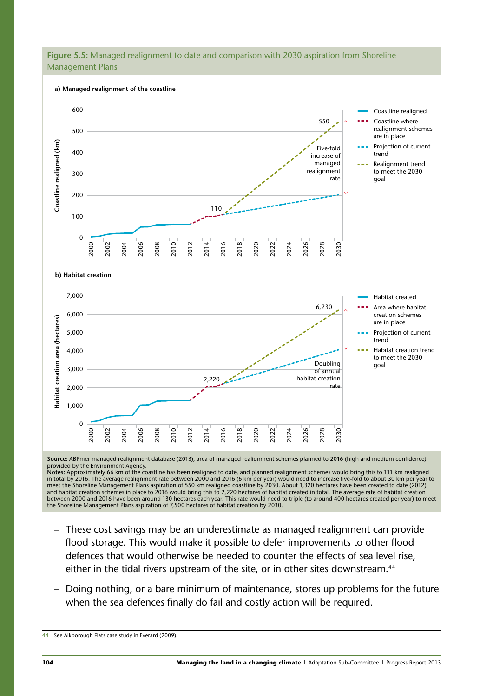#### **Figure 5.5:** Managed realignment to date and comparison with 2030 aspiration from Shoreline Management Plans



**Source:** ABPmer managed realignment database (2013), area of managed realignment schemes planned to 2016 (high and medium confidence) provided by the Environment Agency.<br>**Notes**: Approximately 66 km of the coastline has been realigned to date, and planned realignment schemes would bring this to 111 km realigned

in total by 2016. The average realignment rate between 2000 and 2016 (6 km per year) would need to increase five-fold to about 30 km per year to meet the Shoreline Management Plans aspiration of 550 km realigned coastline by 2030. About 1,320 hectares have been created to date (2012), and habitat creation schemes in place to 2016 would bring this to 2,220 hectares of habitat created in total. The average rate of habitat creation between 2000 and 2016 have been around 130 hectares each year. This rate would need to triple (to around 400 hectares created per year) to meet the Shoreline Management Plans aspiration of 7,500 hectares of habitat creation by 2030.

- These cost savings may be an underestimate as managed realignment can provide flood storage. This would make it possible to defer improvements to other flood defences that would otherwise be needed to counter the effects of sea level rise, either in the tidal rivers upstream of the site, or in other sites downstream.<sup>44</sup>
- Doing nothing, or a bare minimum of maintenance, stores up problems for the future when the sea defences finally do fail and costly action will be required.

44 See Alkborough Flats case study in Everard (2009).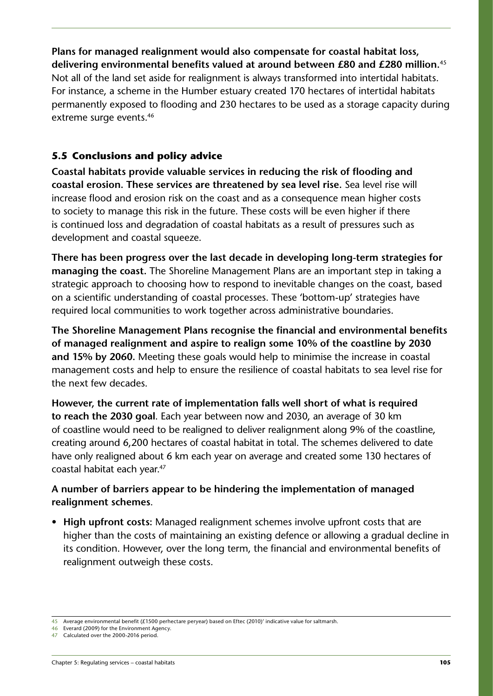<span id="page-13-0"></span>**Plans for managed realignment would also compensate for coastal habitat loss, delivering environmental benefits valued at around between £80 and £280 million.**<sup>45</sup> Not all of the land set aside for realignment is always transformed into intertidal habitats. For instance, a scheme in the Humber estuary created 170 hectares of intertidal habitats permanently exposed to flooding and 230 hectares to be used as a storage capacity during extreme surge events.<sup>46</sup>

# **5.5 Conclusions and policy advice**

**Coastal habitats provide valuable services in reducing the risk of flooding and coastal erosion. These services are threatened by sea level rise.** Sea level rise will increase flood and erosion risk on the coast and as a consequence mean higher costs to society to manage this risk in the future. These costs will be even higher if there is continued loss and degradation of coastal habitats as a result of pressures such as development and coastal squeeze.

**There has been progress over the last decade in developing long-term strategies for managing the coast.** The Shoreline Management Plans are an important step in taking a strategic approach to choosing how to respond to inevitable changes on the coast, based on a scientific understanding of coastal processes. These 'bottom-up' strategies have required local communities to work together across administrative boundaries.

**The Shoreline Management Plans recognise the financial and environmental benefits of managed realignment and aspire to realign some 10% of the coastline by 2030 and 15% by 2060.** Meeting these goals would help to minimise the increase in coastal management costs and help to ensure the resilience of coastal habitats to sea level rise for the next few decades.

**However, the current rate of implementation falls well short of what is required to reach the 2030 goal**. Each year between now and 2030, an average of 30 km of coastline would need to be realigned to deliver realignment along 9% of the coastline, creating around 6,200 hectares of coastal habitat in total. The schemes delivered to date have only realigned about 6 km each year on average and created some 130 hectares of coastal habitat each year.47

# **A number of barriers appear to be hindering the implementation of managed realignment schemes**.

• **High upfront costs:** Managed realignment schemes involve upfront costs that are higher than the costs of maintaining an existing defence or allowing a gradual decline in its condition. However, over the long term, the financial and environmental benefits of realignment outweigh these costs.

<sup>45</sup> Average environmental benefit (£1500 perhectare peryear) based on Eftec (2010)' indicative value for saltmarsh.

<sup>46</sup> Everard (2009) for the Environment Agency.

<sup>47</sup> Calculated over the 2000-2016 period.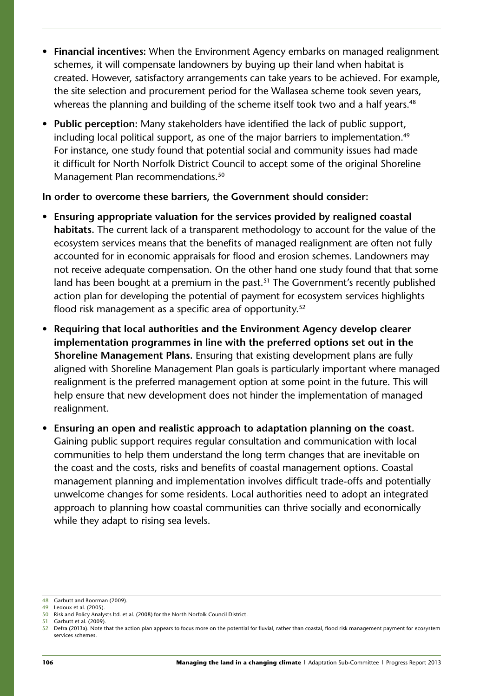- **Financial incentives:** When the Environment Agency embarks on managed realignment schemes, it will compensate landowners by buying up their land when habitat is created. However, satisfactory arrangements can take years to be achieved. For example, the site selection and procurement period for the Wallasea scheme took seven years, whereas the planning and building of the scheme itself took two and a half years.<sup>48</sup>
- **Public perception:** Many stakeholders have identified the lack of public support, including local political support, as one of the major barriers to implementation.<sup>49</sup> For instance, one study found that potential social and community issues had made it difficult for North Norfolk District Council to accept some of the original Shoreline Management Plan recommendations.<sup>50</sup>

#### **In order to overcome these barriers, the Government should consider:**

- **Ensuring appropriate valuation for the services provided by realigned coastal habitats.** The current lack of a transparent methodology to account for the value of the ecosystem services means that the benefits of managed realignment are often not fully accounted for in economic appraisals for flood and erosion schemes. Landowners may not receive adequate compensation. On the other hand one study found that that some land has been bought at a premium in the past.<sup>51</sup> The Government's recently published action plan for developing the potential of payment for ecosystem services highlights flood risk management as a specific area of opportunity.<sup>52</sup>
- **Requiring that local authorities and the Environment Agency develop clearer implementation programmes in line with the preferred options set out in the Shoreline Management Plans.** Ensuring that existing development plans are fully aligned with Shoreline Management Plan goals is particularly important where managed realignment is the preferred management option at some point in the future. This will help ensure that new development does not hinder the implementation of managed realignment.
- **Ensuring an open and realistic approach to adaptation planning on the coast.**  Gaining public support requires regular consultation and communication with local communities to help them understand the long term changes that are inevitable on the coast and the costs, risks and benefits of coastal management options. Coastal management planning and implementation involves difficult trade-offs and potentially unwelcome changes for some residents. Local authorities need to adopt an integrated approach to planning how coastal communities can thrive socially and economically while they adapt to rising sea levels.

51 Garbutt et al. (2009).

<sup>48</sup> Garbutt and Boorman (2009).

<sup>49</sup> Ledoux et al. (2005). 50 Risk and Policy Analysts ltd. et al. (2008) for the North Norfolk Council District.

<sup>52</sup> Defra (2013a). Note that the action plan appears to focus more on the potential for fluvial, rather than coastal, flood risk management payment for ecosystem services schemes.